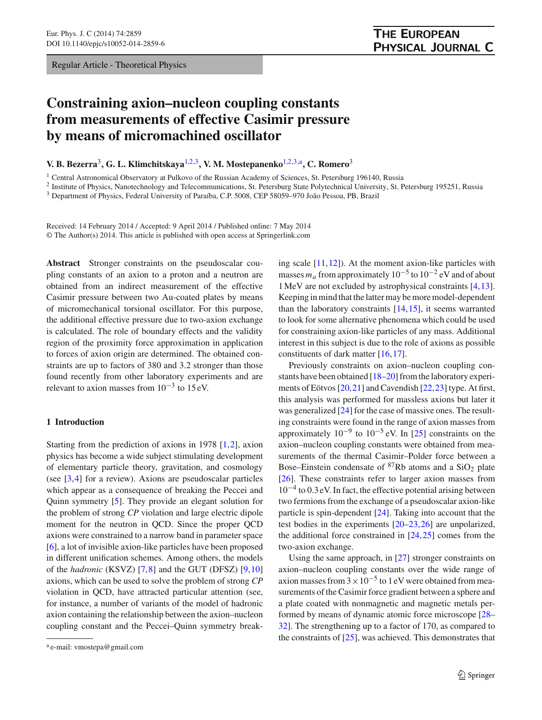Regular Article - Theoretical Physics

# <span id="page-0-1"></span><span id="page-0-0"></span>**THE EUROPEAN** PHYSICAL JOURNAL C

# **Constraining axion–nucleon coupling constants from measurements of effective Casimir pressure by means of micromachined oscillator**

**V. B. Bezerra**[3](#page-0-0)**, G. L. Klimchitskaya**[1,2](#page-0-1)[,3](#page-0-0)**, V. M. Mostepanenko**[1,2](#page-0-1)[,3,](#page-0-0)a**, C. Romero**[3](#page-0-0)

<sup>1</sup> Central Astronomical Observatory at Pulkovo of the Russian Academy of Sciences, St. Petersburg 196140, Russia

<sup>2</sup> Institute of Physics, Nanotechnology and Telecommunications, St. Petersburg State Polytechnical University, St. Petersburg 195251, Russia

<sup>3</sup> Department of Physics, Federal University of Paraíba, C.P. 5008, CEP 58059–970 João Pessoa, PB, Brazil

Received: 14 February 2014 / Accepted: 9 April 2014 / Published online: 7 May 2014 © The Author(s) 2014. This article is published with open access at Springerlink.com

**Abstract** Stronger constraints on the pseudoscalar coupling constants of an axion to a proton and a neutron are obtained from an indirect measurement of the effective Casimir pressure between two Au-coated plates by means of micromechanical torsional oscillator. For this purpose, the additional effective pressure due to two-axion exchange is calculated. The role of boundary effects and the validity region of the proximity force approximation in application to forces of axion origin are determined. The obtained constraints are up to factors of 380 and 3.2 stronger than those found recently from other laboratory experiments and are relevant to axion masses from  $10^{-3}$  to 15 eV.

### **1 Introduction**

Starting from the prediction of axions in 1978 [\[1](#page-7-0)[,2](#page-7-1)], axion physics has become a wide subject stimulating development of elementary particle theory, gravitation, and cosmology (see  $[3,4]$  $[3,4]$  $[3,4]$  for a review). Axions are pseudoscalar particles which appear as a consequence of breaking the Peccei and Quinn symmetry [\[5\]](#page-7-4). They provide an elegant solution for the problem of strong *CP* violation and large electric dipole moment for the neutron in QCD. Since the proper QCD axions were constrained to a narrow band in parameter space [\[6](#page-7-5)], a lot of invisible axion-like particles have been proposed in different unification schemes. Among others, the models of the *hadronic* (KSVZ) [\[7](#page-7-6)[,8](#page-7-7)] and the GUT (DFSZ) [\[9,](#page-7-8)[10\]](#page-7-9) axions, which can be used to solve the problem of strong *CP* violation in QCD, have attracted particular attention (see, for instance, a number of variants of the model of hadronic axion containing the relationship between the axion–nucleon coupling constant and the Peccei–Quinn symmetry breaking scale [\[11](#page-7-10)[,12](#page-7-11)]). At the moment axion-like particles with masses  $m_a$  from approximately  $10^{-5}$  to  $10^{-2}$  eV and of about 1MeV are not excluded by astrophysical constraints [\[4](#page-7-3)[,13](#page-7-12)]. Keeping in mind that the latter may be more model-dependent than the laboratory constraints  $[14, 15]$  $[14, 15]$ , it seems warranted to look for some alternative phenomena which could be used for constraining axion-like particles of any mass. Additional interest in this subject is due to the role of axions as possible constituents of dark matter [\[16](#page-7-15),[17\]](#page-7-16).

Previously constraints on axion–nucleon coupling constants have been obtained [\[18](#page-7-17)[–20\]](#page-7-18) from the laboratory experiments of Eötvos [\[20](#page-7-18)[,21](#page-7-19)] and Cavendish [\[22](#page-7-20)[,23](#page-7-21)] type. At first, this analysis was performed for massless axions but later it was generalized [\[24](#page-7-22)] for the case of massive ones. The resulting constraints were found in the range of axion masses from approximately  $10^{-9}$  to  $10^{-5}$  eV. In [\[25](#page-7-23)] constraints on the axion–nucleon coupling constants were obtained from measurements of the thermal Casimir–Polder force between a Bose–Einstein condensate of  ${}^{87}Rb$  atoms and a SiO<sub>2</sub> plate [\[26](#page-7-24)]. These constraints refer to larger axion masses from  $10^{-4}$  to 0.3 eV. In fact, the effective potential arising between two fermions from the exchange of a pseudoscalar axion-like particle is spin-dependent [\[24\]](#page-7-22). Taking into account that the test bodies in the experiments [\[20](#page-7-18)[–23](#page-7-21),[26\]](#page-7-24) are unpolarized, the additional force constrained in  $[24,25]$  $[24,25]$  $[24,25]$  comes from the two-axion exchange.

Using the same approach, in [\[27](#page-7-25)] stronger constraints on axion–nucleon coupling constants over the wide range of axion masses from  $3 \times 10^{-5}$  to 1 eV were obtained from measurements of the Casimir force gradient between a sphere and a plate coated with nonmagnetic and magnetic metals performed by means of dynamic atomic force microscope [\[28](#page-7-26)– [32](#page-7-27)]. The strengthening up to a factor of 170, as compared to the constraints of [\[25\]](#page-7-23), was achieved. This demonstrates that

<sup>a</sup> e-mail: vmostepa@gmail.com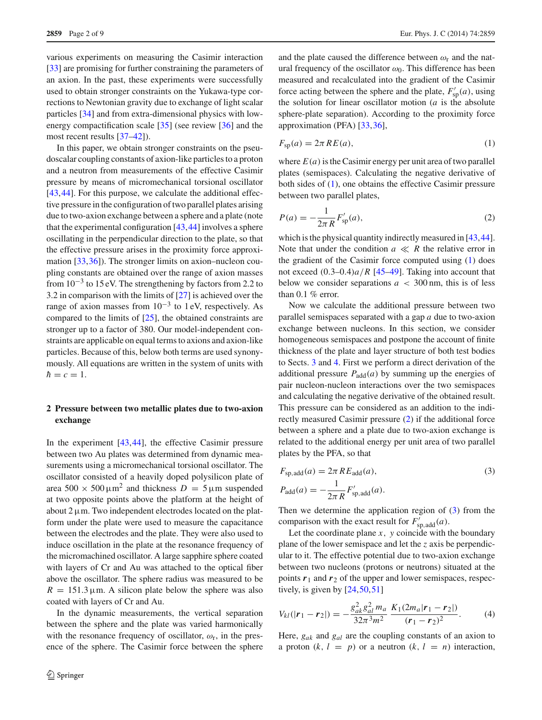various experiments on measuring the Casimir interaction [\[33](#page-7-29)] are promising for further constraining the parameters of an axion. In the past, these experiments were successfully used to obtain stronger constraints on the Yukawa-type corrections to Newtonian gravity due to exchange of light scalar particles [\[34](#page-7-30)] and from extra-dimensional physics with lowenergy compactification scale [\[35\]](#page-7-31) (see review [\[36\]](#page-7-32) and the most recent results [\[37](#page-7-33)[–42](#page-8-0)]).

In this paper, we obtain stronger constraints on the pseudoscalar coupling constants of axion-like particles to a proton and a neutron from measurements of the effective Casimir pressure by means of micromechanical torsional oscillator [\[43](#page-8-1),[44\]](#page-8-2). For this purpose, we calculate the additional effective pressure in the configuration of two parallel plates arising due to two-axion exchange between a sphere and a plate (note that the experimental configuration  $[43, 44]$  $[43, 44]$  $[43, 44]$  involves a sphere oscillating in the perpendicular direction to the plate, so that the effective pressure arises in the proximity force approximation [\[33,](#page-7-29)[36\]](#page-7-32)). The stronger limits on axion–nucleon coupling constants are obtained over the range of axion masses from  $10^{-3}$  to 15 eV. The strengthening by factors from 2.2 to 3.2 in comparison with the limits of [\[27](#page-7-25)] is achieved over the range of axion masses from  $10^{-3}$  to 1 eV, respectively. As compared to the limits of [\[25\]](#page-7-23), the obtained constraints are stronger up to a factor of 380. Our model-independent constraints are applicable on equal terms to axions and axion-like particles. Because of this, below both terms are used synonymously. All equations are written in the system of units with  $h = c = 1.$ 

## <span id="page-1-4"></span>**2 Pressure between two metallic plates due to two-axion exchange**

In the experiment [\[43](#page-8-1)[,44](#page-8-2)], the effective Casimir pressure between two Au plates was determined from dynamic measurements using a micromechanical torsional oscillator. The oscillator consisted of a heavily doped polysilicon plate of area  $500 \times 500 \,\mathrm{\upmu m}^2$  and thickness  $D = 5 \,\mathrm{\upmu m}$  suspended at two opposite points above the platform at the height of about  $2 \mu$ m. Two independent electrodes located on the platform under the plate were used to measure the capacitance between the electrodes and the plate. They were also used to induce oscillation in the plate at the resonance frequency of the micromachined oscillator. A large sapphire sphere coated with layers of Cr and Au was attached to the optical fiber above the oscillator. The sphere radius was measured to be  $R = 151.3 \,\mu$ m. A silicon plate below the sphere was also coated with layers of Cr and Au.

In the dynamic measurements, the vertical separation between the sphere and the plate was varied harmonically with the resonance frequency of oscillator,  $\omega_r$ , in the presence of the sphere. The Casimir force between the sphere and the plate caused the difference between  $\omega_r$  and the natural frequency of the oscillator  $\omega_0$ . This difference has been measured and recalculated into the gradient of the Casimir force acting between the sphere and the plate,  $F'_{\rm sp}(a)$ , using the solution for linear oscillator motion (*a* is the absolute sphere-plate separation). According to the proximity force approximation (PFA) [\[33,](#page-7-29)[36\]](#page-7-32),

<span id="page-1-0"></span>
$$
F_{\rm sp}(a) = 2\pi \, RE(a),\tag{1}
$$

where  $E(a)$  is the Casimir energy per unit area of two parallel plates (semispaces). Calculating the negative derivative of both sides of [\(1\)](#page-1-0), one obtains the effective Casimir pressure between two parallel plates,

<span id="page-1-1"></span>
$$
P(a) = -\frac{1}{2\pi R} F'_{sp}(a),
$$
 (2)

which is the physical quantity indirectly measured in [\[43](#page-8-1)[,44](#page-8-2)]. Note that under the condition  $a \ll R$  the relative error in the gradient of the Casimir force computed using [\(1\)](#page-1-0) does not exceed (0.3–0.4)*a*/*R* [\[45](#page-8-3)[–49](#page-8-4)]. Taking into account that below we consider separations  $a < 300$  nm, this is of less than  $0.1\%$  error.

Now we calculate the additional pressure between two parallel semispaces separated with a gap *a* due to two-axion exchange between nucleons. In this section, we consider homogeneous semispaces and postpone the account of finite thickness of the plate and layer structure of both test bodies to Sects. [3](#page-2-0) and [4.](#page-4-0) First we perform a direct derivation of the additional pressure  $P_{\text{add}}(a)$  by summing up the energies of pair nucleon-nucleon interactions over the two semispaces and calculating the negative derivative of the obtained result. This pressure can be considered as an addition to the indirectly measured Casimir pressure [\(2\)](#page-1-1) if the additional force between a sphere and a plate due to two-axion exchange is related to the additional energy per unit area of two parallel plates by the PFA, so that

<span id="page-1-2"></span>
$$
F_{\rm sp, add}(a) = 2\pi R E_{\rm add}(a),
$$
  
\n
$$
P_{\rm add}(a) = -\frac{1}{2\pi R} F'_{\rm sp, add}(a).
$$
\n(3)

Then we determine the application region of [\(3\)](#page-1-2) from the comparison with the exact result for  $F'_{\text{sp, add}}(a)$ .

Let the coordinate plane  $x$ ,  $y$  coincide with the boundary plane of the lower semispace and let the *z* axis be perpendicular to it. The effective potential due to two-axion exchange between two nucleons (protons or neutrons) situated at the points  $r_1$  and  $r_2$  of the upper and lower semispaces, respectively, is given by  $[24, 50, 51]$  $[24, 50, 51]$ 

<span id="page-1-3"></span>
$$
V_{kl}(|\mathbf{r}_1 - \mathbf{r}_2|) = -\frac{g_{ak}^2 g_{al}^2 m_a}{32\pi^3 m^2} \frac{K_1(2m_a|\mathbf{r}_1 - \mathbf{r}_2|)}{(\mathbf{r}_1 - \mathbf{r}_2)^2}.
$$
 (4)

Here, *gak* and *gal* are the coupling constants of an axion to a proton  $(k, l = p)$  or a neutron  $(k, l = n)$  interaction,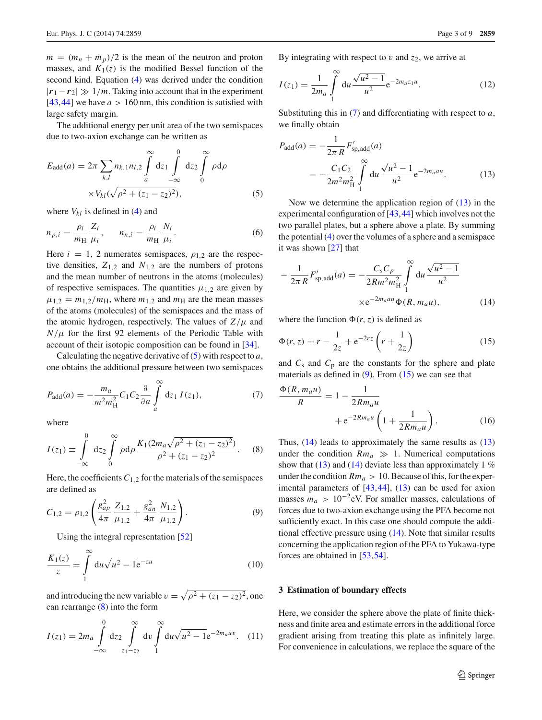$m = (m_n + m_p)/2$  is the mean of the neutron and proton masses, and  $K_1(z)$  is the modified Bessel function of the second kind. Equation [\(4\)](#page-1-3) was derived under the condition  $|r_1 - r_2| \gg 1/m$ . Taking into account that in the experiment [\[43](#page-8-1),[44\]](#page-8-2) we have  $a > 160$  nm, this condition is satisfied with large safety margin.

The additional energy per unit area of the two semispaces due to two-axion exchange can be written as

<span id="page-2-1"></span>
$$
E_{\text{add}}(a) = 2\pi \sum_{k,l} n_{k,1} n_{l,2} \int_{a}^{\infty} dz_1 \int_{-\infty}^{0} dz_2 \int_{0}^{\infty} \rho d\rho
$$
  
 
$$
\times V_{kl}(\sqrt{\rho^2 + (z_1 - z_2)^2}), \qquad (5)
$$

where  $V_{kl}$  is defined in [\(4\)](#page-1-3) and

$$
n_{p,i} = \frac{\rho_i}{m_H} \frac{Z_i}{\mu_i}, \qquad n_{n,i} = \frac{\rho_i}{m_H} \frac{N_i}{\mu_i}.
$$
 (6)

Here  $i = 1, 2$  numerates semispaces,  $\rho_{1,2}$  are the respective densities,  $Z_{1,2}$  and  $N_{1,2}$  are the numbers of protons and the mean number of neutrons in the atoms (molecules) of respective semispaces. The quantities  $\mu_{1,2}$  are given by  $\mu_{1,2} = m_{1,2}/m_H$ , where  $m_{1,2}$  and  $m_H$  are the mean masses of the atoms (molecules) of the semispaces and the mass of the atomic hydrogen, respectively. The values of  $Z/\mu$  and  $N/\mu$  for the first 92 elements of the Periodic Table with account of their isotopic composition can be found in [\[34](#page-7-30)].

Calculating the negative derivative of [\(5\)](#page-2-1) with respect to *a*, one obtains the additional pressure between two semispaces

<span id="page-2-3"></span>
$$
P_{\text{add}}(a) = -\frac{m_a}{m^2 m_H^2} C_1 C_2 \frac{\partial}{\partial a} \int_a^{\infty} dz_1 I(z_1), \tag{7}
$$

where

<span id="page-2-2"></span>
$$
I(z_1) \equiv \int_{-\infty}^{0} dz_2 \int_{0}^{\infty} \rho d\rho \frac{K_1 (2m_a \sqrt{\rho^2 + (z_1 - z_2)^2})}{\rho^2 + (z_1 - z_2)^2}.
$$
 (8)

Here, the coefficients  $C_{1,2}$  for the materials of the semispaces are defined as

<span id="page-2-5"></span>
$$
C_{1,2} = \rho_{1,2} \left( \frac{g_{ap}^2}{4\pi} \frac{Z_{1,2}}{\mu_{1,2}} + \frac{g_{an}^2}{4\pi} \frac{N_{1,2}}{\mu_{1,2}} \right). \tag{9}
$$

Using the integral representation [\[52](#page-8-7)]

<span id="page-2-8"></span>
$$
\frac{K_1(z)}{z} = \int_{1}^{\infty} du \sqrt{u^2 - 1} e^{-zu}
$$
 (10)

and introducing the new variable  $v = \sqrt{\rho^2 + (z_1 - z_2)^2}$ , one can rearrange [\(8\)](#page-2-2) into the form

$$
I(z_1) = 2m_a \int_{-\infty}^0 dz_2 \int_{z_1 - z_2}^{\infty} dv \int_{1}^{\infty} du \sqrt{u^2 - 1} e^{-2m_a uv}.
$$
 (11)

By integrating with respect to  $v$  and  $z_2$ , we arrive at

$$
I(z_1) = \frac{1}{2m_a} \int_{1}^{\infty} du \frac{\sqrt{u^2 - 1}}{u^2} e^{-2m_a z_1 u}.
$$
 (12)

Substituting this in [\(7\)](#page-2-3) and differentiating with respect to *a*, we finally obtain

<span id="page-2-4"></span>
$$
P_{\text{add}}(a) = -\frac{1}{2\pi R} F'_{\text{sp, add}}(a)
$$
  
= 
$$
-\frac{C_1 C_2}{2m^2 m_H^2} \int_{1}^{\infty} du \frac{\sqrt{u^2 - 1}}{u^2} e^{-2m_a a u}.
$$
 (13)

Now we determine the application region of  $(13)$  in the experimental configuration of [\[43](#page-8-1)[,44](#page-8-2)] which involves not the two parallel plates, but a sphere above a plate. By summing the potential [\(4\)](#page-1-3) over the volumes of a sphere and a semispace it was shown [\[27\]](#page-7-25) that

<span id="page-2-7"></span>
$$
-\frac{1}{2\pi R}F'_{\text{sp,add}}(a) = -\frac{C_s C_p}{2Rm^2 m_H^2} \int_{1}^{\infty} du \frac{\sqrt{u^2 - 1}}{u^2}
$$
  
×e<sup>-2m\_aau</sup>Φ(R, m\_a u), (14)

where the function  $\Phi(r, z)$  is defined as

<span id="page-2-6"></span>
$$
\Phi(r, z) = r - \frac{1}{2z} + e^{-2rz} \left( r + \frac{1}{2z} \right)
$$
 (15)

and  $C_s$  and  $C_p$  are the constants for the sphere and plate materials as defined in  $(9)$ . From  $(15)$  we can see that

<span id="page-2-9"></span>
$$
\frac{\Phi(R, m_a u)}{R} = 1 - \frac{1}{2Rm_a u} + e^{-2Rm_a u} \left(1 + \frac{1}{2Rm_a u}\right).
$$
 (16)

Thus, [\(14\)](#page-2-7) leads to approximately the same results as [\(13\)](#page-2-4) under the condition  $Rm_a \gg 1$ . Numerical computations show that [\(13\)](#page-2-4) and [\(14\)](#page-2-7) deviate less than approximately 1  $%$ under the condition  $Rm_a > 10$ . Because of this, for the experimental parameters of  $[43, 44]$  $[43, 44]$ ,  $(13)$  can be used for axion masses  $m_a > 10^{-2}$ eV. For smaller masses, calculations of forces due to two-axion exchange using the PFA become not sufficiently exact. In this case one should compute the additional effective pressure using [\(14\)](#page-2-7). Note that similar results concerning the application region of the PFA to Yukawa-type forces are obtained in [\[53](#page-8-8)[,54](#page-8-9)].

#### <span id="page-2-0"></span>**3 Estimation of boundary effects**

Here, we consider the sphere above the plate of finite thickness and finite area and estimate errors in the additional force gradient arising from treating this plate as infinitely large. For convenience in calculations, we replace the square of the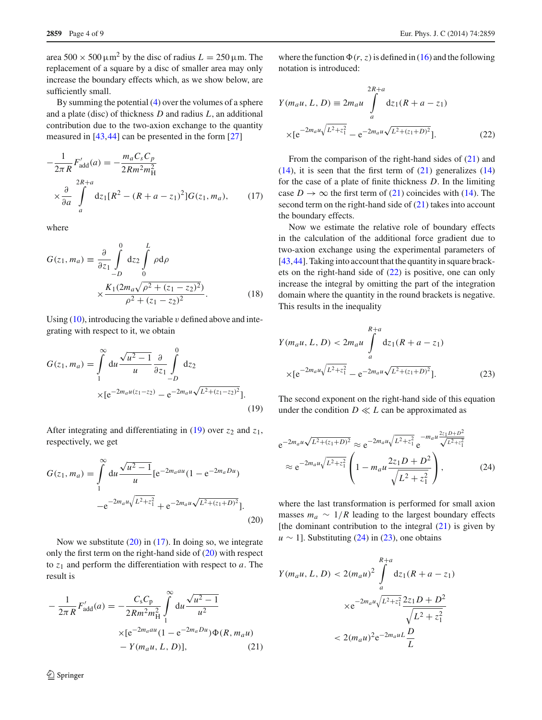area  $500 \times 500 \,\mathrm{\upmu m^2}$  by the disc of radius  $L = 250 \,\mathrm{\upmu m}$ . The replacement of a square by a disc of smaller area may only increase the boundary effects which, as we show below, are sufficiently small.

By summing the potential [\(4\)](#page-1-3) over the volumes of a sphere and a plate (disc) of thickness *D* and radius *L*, an additional contribution due to the two-axion exchange to the quantity measured in [\[43](#page-8-1)[,44](#page-8-2)] can be presented in the form [\[27](#page-7-25)]

<span id="page-3-2"></span>
$$
-\frac{1}{2\pi R} F'_{\text{add}}(a) = -\frac{m_a C_s C_p}{2Rm^2 m_H^2}
$$

$$
\times \frac{\partial}{\partial a} \int_{a}^{2R+a} dz_1 [R^2 - (R+a-z_1)^2] G(z_1, m_a), \qquad (17)
$$

where

$$
G(z_1, m_a) \equiv \frac{\partial}{\partial z_1} \int_{-D}^{0} dz_2 \int_{0}^{L} \rho d\rho
$$
  
 
$$
\times \frac{K_1 (2m_a \sqrt{\rho^2 + (z_1 - z_2)^2})}{\rho^2 + (z_1 - z_2)^2}.
$$
 (18)

Using  $(10)$ , introducing the variable v defined above and integrating with respect to it, we obtain

<span id="page-3-0"></span>
$$
G(z_1, m_a) = \int_{1}^{\infty} du \frac{\sqrt{u^2 - 1}}{u} \frac{\partial}{\partial z_1} \int_{-D}^{0} dz_2
$$
  
×[e<sup>-2m\_a u(z\_1-z\_2)</sup> - e<sup>-2m\_a u \sqrt{L^2 + (z\_1-z\_2)^2}</sup>]. (19)

After integrating and differentiating in  $(19)$  over  $z_2$  and  $z_1$ , respectively, we get

<span id="page-3-1"></span>
$$
G(z_1, m_a) = \int_{1}^{\infty} du \frac{\sqrt{u^2 - 1}}{u} [e^{-2m_a au} (1 - e^{-2m_a Du}) -e^{-2m_a u \sqrt{L^2 + z_1^2}} + e^{-2m_a u \sqrt{L^2 + (z_1 + D)^2}}].
$$
\n(20)

Now we substitute  $(20)$  in  $(17)$ . In doing so, we integrate only the first term on the right-hand side of [\(20\)](#page-3-1) with respect to *z*<sup>1</sup> and perform the differentiation with respect to *a*. The result is

<span id="page-3-3"></span>
$$
-\frac{1}{2\pi R}F'_{\text{add}}(a) = -\frac{C_{\text{s}}C_{\text{p}}}{2Rm^2m_{\text{H}}^2} \int_{1}^{\infty} \text{d}u \frac{\sqrt{u^2 - 1}}{u^2}
$$

$$
\times \left[e^{-2m_a a u} (1 - e^{-2m_a D u}) \Phi(R, m_a u)\right. \\
\left. - Y(m_a u, L, D)\right],\tag{21}
$$

where the function  $\Phi(r, z)$  is defined in [\(16\)](#page-2-9) and the following notation is introduced:

<span id="page-3-4"></span>
$$
Y(m_a u, L, D) \equiv 2m_a u \int_a^{2R+a} dz_1 (R + a - z_1)
$$
  
 
$$
\times [e^{-2m_a u \sqrt{L^2 + z_1^2}} - e^{-2m_a u \sqrt{L^2 + (z_1 + D)^2}}].
$$
 (22)

From the comparison of the right-hand sides of [\(21\)](#page-3-3) and  $(14)$ , it is seen that the first term of  $(21)$  generalizes  $(14)$ for the case of a plate of finite thickness *D*. In the limiting case  $D \to \infty$  the first term of [\(21\)](#page-3-3) coincides with [\(14\)](#page-2-7). The second term on the right-hand side of  $(21)$  takes into account the boundary effects.

Now we estimate the relative role of boundary effects in the calculation of the additional force gradient due to two-axion exchange using the experimental parameters of [\[43](#page-8-1),[44\]](#page-8-2). Taking into account that the quantity in square brackets on the right-hand side of [\(22\)](#page-3-4) is positive, one can only increase the integral by omitting the part of the integration domain where the quantity in the round brackets is negative. This results in the inequality

<span id="page-3-6"></span>
$$
Y(m_a u, L, D) < 2m_a u \int_a^{R+a} dz_1 (R + a - z_1)
$$
\n
$$
\times [e^{-2m_a u \sqrt{L^2 + z_1^2}} - e^{-2m_a u \sqrt{L^2 + (z_1 + D)^2}}].\tag{23}
$$

The second exponent on the right-hand side of this equation under the condition  $D \ll L$  can be approximated as

<span id="page-3-5"></span>
$$
e^{-2m_a u \sqrt{L^2 + (z_1 + D)^2}} \approx e^{-2m_a u \sqrt{L^2 + z_1^2}} e^{-m_a u \frac{2z_1 D + D^2}{\sqrt{L^2 + z_1^2}}}
$$
  
 
$$
\approx e^{-2m_a u \sqrt{L^2 + z_1^2}} \left(1 - m_a u \frac{2z_1 D + D^2}{\sqrt{L^2 + z_1^2}}\right),
$$
 (24)

where the last transformation is performed for small axion masses  $m_a \sim 1/R$  leading to the largest boundary effects [the dominant contribution to the integral  $(21)$  is given by  $u \sim 1$ ]. Substituting [\(24\)](#page-3-5) in [\(23\)](#page-3-6), one obtains

<span id="page-3-7"></span>
$$
Y(m_a u, L, D) < 2(m_a u)^2 \int_a^{R+a} dz_1 (R + a - z_1)
$$
\n
$$
\times e^{-2m_a u \sqrt{L^2 + z_1^2}} \frac{2z_1 D + D^2}{\sqrt{L^2 + z_1^2}}
$$
\n
$$
< 2(m_a u)^2 e^{-2m_a u L} \frac{D}{L}
$$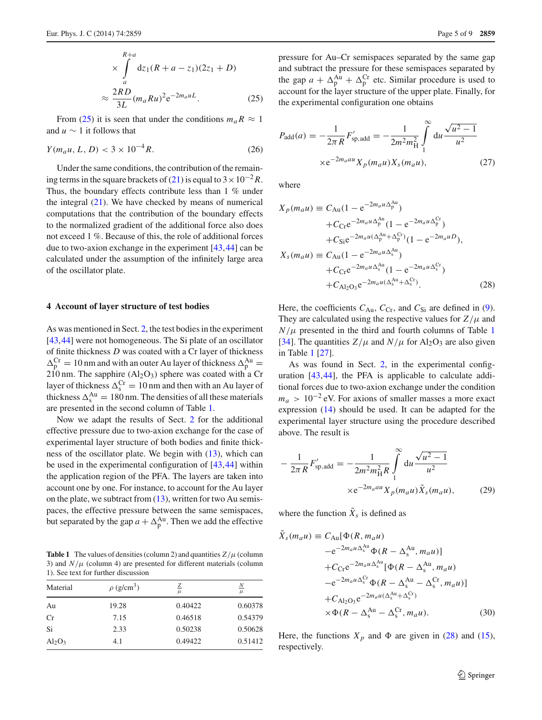From [\(25\)](#page-3-7) it is seen that under the conditions  $m_a R \approx 1$ and *u* ∼ 1 it follows that

$$
Y(m_a u, L, D) < 3 \times 10^{-4} R. \tag{26}
$$

Under the same conditions, the contribution of the remain-ing terms in the square brackets of [\(21\)](#page-3-3) is equal to  $3 \times 10^{-2} R$ . Thus, the boundary effects contribute less than 1 % under the integral  $(21)$ . We have checked by means of numerical computations that the contribution of the boundary effects to the normalized gradient of the additional force also does not exceed 1 %. Because of this, the role of additional forces due to two-axion exchange in the experiment [\[43](#page-8-1)[,44](#page-8-2)] can be calculated under the assumption of the infinitely large area of the oscillator plate.

#### <span id="page-4-0"></span>**4 Account of layer structure of test bodies**

As was mentioned in Sect. [2,](#page-1-4) the test bodies in the experiment [\[43](#page-8-1),[44\]](#page-8-2) were not homogeneous. The Si plate of an oscillator of finite thickness *D* was coated with a Cr layer of thickness  $\Delta_p^{Cr} = 10$  nm and with an outer Au layer of thickness  $\Delta_p^{Au} =$  $210$  nm. The sapphire (Al<sub>2</sub>O<sub>3</sub>) sphere was coated with a Cr layer of thickness  $\Delta_s^{\text{Cr}} = 10 \text{ nm}$  and then with an Au layer of thickness  $\Delta_s^{\text{Au}} = 180 \text{ nm}$ . The densities of all these materials are presented in the second column of Table [1.](#page-4-1)

Now we adapt the results of Sect. [2](#page-1-4) for the additional effective pressure due to two-axion exchange for the case of experimental layer structure of both bodies and finite thickness of the oscillator plate. We begin with [\(13\)](#page-2-4), which can be used in the experimental configuration of [\[43](#page-8-1),[44\]](#page-8-2) within the application region of the PFA. The layers are taken into account one by one. For instance, to account for the Au layer on the plate, we subtract from  $(13)$ , written for two Au semispaces, the effective pressure between the same semispaces, but separated by the gap  $a + \Delta_p^{\text{Au}}$ . Then we add the effective

<span id="page-4-1"></span>**Table 1** The values of densities (column 2) and quantities  $Z/\mu$  (column 3) and  $N/\mu$  (column 4) are presented for different materials (column 1). See text for further discussion

| Material  | $\rho$ (g/cm <sup>3</sup> ) | ℤ<br>$\mu$ | $\overline{N}$<br>$\mu$ |
|-----------|-----------------------------|------------|-------------------------|
| Au        | 19.28                       | 0.40422    | 0.60378                 |
| Cr        | 7.15                        | 0.46518    | 0.54379                 |
| Si        | 2.33                        | 0.50238    | 0.50628                 |
| $Al_2O_3$ | 4.1                         | 0.49422    | 0.51412                 |

pressure for Au–Cr semispaces separated by the same gap and subtract the pressure for these semispaces separated by

the gap  $a + \Delta_p^{\text{Au}} + \Delta_p^{\text{Cr}}$  etc. Similar procedure is used to account for the layer structure of the upper plate. Finally, for the experimental configuration one obtains

<span id="page-4-3"></span>
$$
P_{\text{add}}(a) = -\frac{1}{2\pi R} F'_{\text{sp, add}} = -\frac{1}{2m^2 m_H^2} \int_{1}^{\infty} du \frac{\sqrt{u^2 - 1}}{u^2}
$$
  
×e<sup>-2m\_aau</sup> X<sub>p</sub>(m\_a u) X<sub>s</sub>(m\_a u), (27)

where

<span id="page-4-2"></span>
$$
X_{p}(m_{a}u) \equiv C_{Au}(1 - e^{-2m_{a}u\Delta_{p}^{Au}})
$$
  
+  $C_{CF}e^{-2m_{a}u\Delta_{p}^{Au}}(1 - e^{-2m_{a}u\Delta_{p}^{Cr}})$   
+  $C_{Si}e^{-2m_{a}u(\Delta_{p}^{Au} + \Delta_{p}^{Cr})}(1 - e^{-2m_{a}uD}),$   
 $X_{s}(m_{a}u) \equiv C_{Au}(1 - e^{-2m_{a}u\Delta_{s}^{Au}})$   
+  $C_{CF}e^{-2m_{a}u\Delta_{s}^{Au}}(1 - e^{-2m_{a}u\Delta_{s}^{Cr}})$   
+  $C_{Al_{2}O_{3}}e^{-2m_{a}u(\Delta_{s}^{Au} + \Delta_{s}^{Cr})}$ . (28)

Here, the coefficients  $C_{Au}$ ,  $C_{Cr}$ , and  $C_{Si}$  are defined in [\(9\)](#page-2-5). They are calculated using the respective values for  $Z/\mu$  and  $N/\mu$  presented in the third and fourth columns of Table [1](#page-4-1) [\[34](#page-7-30)]. The quantities  $Z/\mu$  and  $N/\mu$  for Al<sub>2</sub>O<sub>3</sub> are also given in Table [1](#page-4-1) [\[27\]](#page-7-25).

As was found in Sect. [2,](#page-1-4) in the experimental configuration [\[43](#page-8-1),[44](#page-8-2)], the PFA is applicable to calculate additional forces due to two-axion exchange under the condition  $m_a > 10^{-2}$  eV. For axions of smaller masses a more exact expression [\(14\)](#page-2-7) should be used. It can be adapted for the experimental layer structure using the procedure described above. The result is

<span id="page-4-4"></span>
$$
-\frac{1}{2\pi R}F'_{\text{sp,add}} = -\frac{1}{2m^2 m_H^2 R} \int_{1}^{\infty} du \frac{\sqrt{u^2 - 1}}{u^2} \times e^{-2m_a au} X_p(m_a u) \tilde{X}_s(m_a u), \tag{29}
$$

where the function  $\tilde{X}_s$  is defined as

$$
X_s(m_a u) \equiv C_{\text{Au}}[\Phi(R, m_a u)]
$$
  
\n
$$
-e^{-2m_a u \Delta_s^{\text{Au}}} \Phi(R - \Delta_s^{\text{Au}}, m_a u)]
$$
  
\n
$$
+C_{\text{Cr}}e^{-2m_a u \Delta_s^{\text{Au}}}[\Phi(R - \Delta_s^{\text{Au}}, m_a u)]
$$
  
\n
$$
-e^{-2m_a u \Delta_s^{\text{Cr}}} \Phi(R - \Delta_s^{\text{Au}} - \Delta_s^{\text{Cr}}, m_a u)]
$$
  
\n
$$
+C_{\text{Al}_2\text{O}_3}e^{-2m_a u (\Delta_s^{\text{Au}} + \Delta_s^{\text{Cr}})}
$$
  
\n
$$
\times \Phi(R - \Delta_s^{\text{Au}} - \Delta_s^{\text{Cr}}, m_a u).
$$
\n(30)

Here, the functions  $X_p$  and  $\Phi$  are given in [\(28\)](#page-4-2) and [\(15\)](#page-2-6), respectively.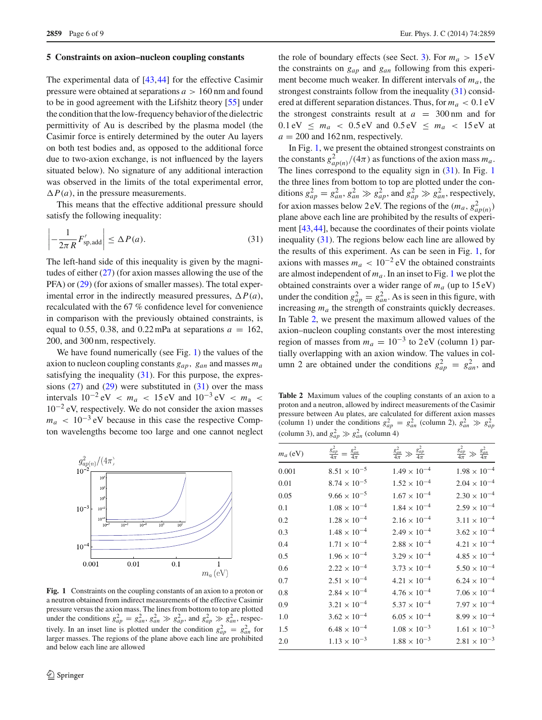#### **5 Constraints on axion–nucleon coupling constants**

The experimental data of [\[43](#page-8-1)[,44](#page-8-2)] for the effective Casimir pressure were obtained at separations *a* > 160 nm and found to be in good agreement with the Lifshitz theory [\[55\]](#page-8-10) under the condition that the low-frequency behavior of the dielectric permittivity of Au is described by the plasma model (the Casimir force is entirely determined by the outer Au layers on both test bodies and, as opposed to the additional force due to two-axion exchange, is not influenced by the layers situated below). No signature of any additional interaction was observed in the limits of the total experimental error,  $\Delta P(a)$ , in the pressure measurements.

This means that the effective additional pressure should satisfy the following inequality:

<span id="page-5-1"></span>
$$
\left| -\frac{1}{2\pi R} F'_{\text{sp,add}} \right| \leq \Delta P(a). \tag{31}
$$

The left-hand side of this inequality is given by the magnitudes of either [\(27\)](#page-4-3) (for axion masses allowing the use of the PFA) or [\(29\)](#page-4-4) (for axions of smaller masses). The total experimental error in the indirectly measured pressures,  $\Delta P(a)$ , recalculated with the 67 % confidence level for convenience in comparison with the previously obtained constraints, is equal to 0.55, 0.38, and 0.22 mPa at separations  $a = 162$ , 200, and 300 nm, respectively.

We have found numerically (see Fig. [1\)](#page-5-0) the values of the axion to nucleon coupling constants *gap*, *gan* and masses *ma* satisfying the inequality [\(31\)](#page-5-1). For this purpose, the expressions  $(27)$  and  $(29)$  were substituted in  $(31)$  over the mass intervals  $10^{-2}$  eV <  $m_a$  < 15 eV and  $10^{-3}$  eV <  $m_a$  <  $10^{-2}$  eV, respectively. We do not consider the axion masses  $m_a$  < 10<sup>-3</sup> eV because in this case the respective Compton wavelengths become too large and one cannot neglect



<span id="page-5-0"></span>**Fig. 1** Constraints on the coupling constants of an axion to a proton or a neutron obtained from indirect measurements of the effective Casimir pressure versus the axion mass. The lines from bottom to top are plotted under the conditions  $g_{ap}^2 = g_{an}^2$ ,  $g_{an}^2 \gg g_{ap}^2$ , and  $g_{ap}^2 \gg g_{an}^2$ , respectively. In an inset line is plotted under the condition  $g_{ap}^2 = g_{an}^2$  for larger masses. The regions of the plane above each line are prohibited and below each line are allowed

the role of boundary effects (see Sect. [3\)](#page-2-0). For  $m_a > 15 \text{ eV}$ the constraints on *gap* and *gan* following from this experiment become much weaker. In different intervals of *ma*, the strongest constraints follow from the inequality [\(31\)](#page-5-1) considered at different separation distances. Thus, for  $m_a < 0.1$  eV the strongest constraints result at  $a = 300$  nm and for  $0.1 \text{ eV} \leq m_a \leq 0.5 \text{ eV}$  and  $0.5 \text{ eV} \leq m_a \leq 15 \text{ eV}$  at  $a = 200$  and 162 nm, respectively.

In Fig. [1,](#page-5-0) we present the obtained strongest constraints on the constants  $g_{ap(n)}^2/(4\pi)$  as functions of the axion mass  $m_a$ . The lines correspond to the equality sign in  $(31)$ . In Fig. [1](#page-5-0) the three lines from bottom to top are plotted under the conditions  $g_{ap}^2 = g_{an}^2$ ,  $g_{an}^2 \gg g_{ap}^2$ , and  $g_{ap}^2 \gg g_{an}^2$ , respectively, for axion masses below 2 eV. The regions of the  $(m_a, g_{ap(n)}^2)$ plane above each line are prohibited by the results of experiment [\[43,](#page-8-1)[44\]](#page-8-2), because the coordinates of their points violate inequality [\(31\)](#page-5-1). The regions below each line are allowed by the results of this experiment. As can be seen in Fig. [1,](#page-5-0) for axions with masses  $m_a < 10^{-2}$  eV the obtained constraints are almost independent of  $m_a$ . In an inset to Fig. [1](#page-5-0) we plot the obtained constraints over a wider range of  $m_a$  (up to 15 eV) under the condition  $g_{ap}^2 = g_{an}^2$ . As is seen in this figure, with increasing *ma* the strength of constraints quickly decreases. In Table [2,](#page-5-2) we present the maximum allowed values of the axion–nucleon coupling constants over the most interesting region of masses from  $m_a = 10^{-3}$  to 2 eV (column 1) partially overlapping with an axion window. The values in column 2 are obtained under the conditions  $g_{ap}^2 = g_{an}^2$ , and

<span id="page-5-2"></span>**Table 2** Maximum values of the coupling constants of an axion to a proton and a neutron, allowed by indirect measurements of the Casimir pressure between Au plates, are calculated for different axion masses (column 1) under the conditions  $g_{ap}^2 = g_{an}^2$  (column 2),  $g_{an}^2 \gg g_{ap}^2$ (column 3), and  $g_{ap}^2 \gg g_{an}^2$  (column 4)

| $m_a$ (eV) | $\frac{g_{ap}^2}{4\pi}$<br>$rac{g_{an}^2}{4\pi}$ | $rac{g_{ap}^2}{4\pi}$<br>$rac{g_{an}^2}{4\pi} \gg$ | $\frac{g_{ap}^2}{4\pi}$<br>$rac{g_{an}^2}{4\pi}$ |
|------------|--------------------------------------------------|----------------------------------------------------|--------------------------------------------------|
| 0.001      | $8.51 \times 10^{-5}$                            | $1.49 \times 10^{-4}$                              | $1.98 \times 10^{-4}$                            |
| 0.01       | $8.74 \times 10^{-5}$                            | $1.52 \times 10^{-4}$                              | $2.04 \times 10^{-4}$                            |
| 0.05       | $9.66 \times 10^{-5}$                            | $1.67 \times 10^{-4}$                              | $2.30 \times 10^{-4}$                            |
| 0.1        | $1.08 \times 10^{-4}$                            | $1.84 \times 10^{-4}$                              | $2.59 \times 10^{-4}$                            |
| 0.2        | $1.28 \times 10^{-4}$                            | $2.16 \times 10^{-4}$                              | $3.11 \times 10^{-4}$                            |
| 0.3        | $1.48 \times 10^{-4}$                            | $2.49 \times 10^{-4}$                              | $3.62 \times 10^{-4}$                            |
| 0.4        | $1.71 \times 10^{-4}$                            | $2.88 \times 10^{-4}$                              | $4.21 \times 10^{-4}$                            |
| 0.5        | $1.96 \times 10^{-4}$                            | $3.29 \times 10^{-4}$                              | $4.85 \times 10^{-4}$                            |
| 0.6        | $2.22 \times 10^{-4}$                            | $3.73 \times 10^{-4}$                              | $5.50 \times 10^{-4}$                            |
| 0.7        | $2.51 \times 10^{-4}$                            | $4.21 \times 10^{-4}$                              | $6.24 \times 10^{-4}$                            |
| 0.8        | $2.84 \times 10^{-4}$                            | $4.76 \times 10^{-4}$                              | $7.06 \times 10^{-4}$                            |
| 0.9        | $3.21 \times 10^{-4}$                            | $5.37 \times 10^{-4}$                              | $7.97 \times 10^{-4}$                            |
| 1.0        | $3.62 \times 10^{-4}$                            | $6.05 \times 10^{-4}$                              | $8.99 \times 10^{-4}$                            |
| 1.5        | $6.48 \times 10^{-4}$                            | $1.08 \times 10^{-3}$                              | $1.61 \times 10^{-3}$                            |
| 2.0        | $1.13 \times 10^{-3}$                            | $1.88 \times 10^{-3}$                              | $2.81 \times 10^{-3}$                            |
|            |                                                  |                                                    |                                                  |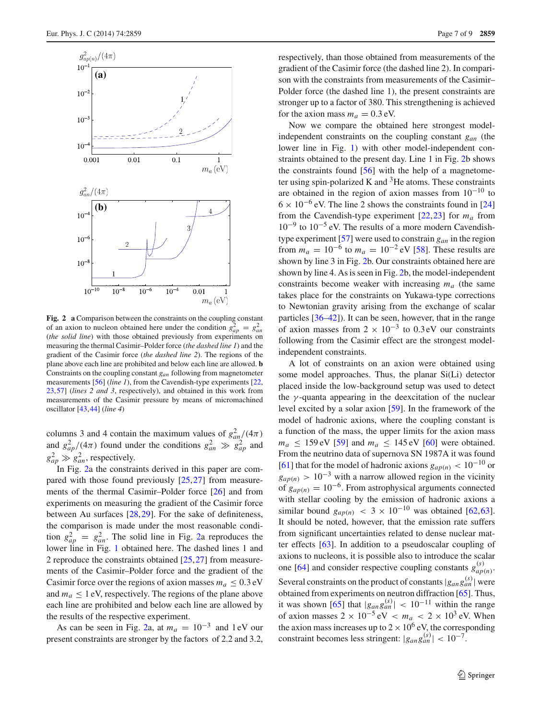

<span id="page-6-0"></span>**Fig. 2 a** Comparison between the constraints on the coupling constant of an axion to nucleon obtained here under the condition  $g_{ap}^2 = g_{an}^2$ (*the solid line*) with those obtained previously from experiments on measuring the thermal Casimir–Polder force (*the dashed line 1*) and the gradient of the Casimir force (*the dashed line 2*). The regions of the plane above each line are prohibited and below each line are allowed. **b** Constraints on the coupling constant *gan* following from magnetometer measurements [\[56\]](#page-8-11) (*line 1*), from the Cavendish-type experiments [\[22](#page-7-20), [23](#page-7-21)[,57\]](#page-8-12) (*lines 2 and 3*, respectively), and obtained in this work from measurements of the Casimir pressure by means of micromachined oscillator [\[43](#page-8-1)[,44](#page-8-2)] (*line 4*)

columns 3 and 4 contain the maximum values of  $g_{an}^2/(4\pi)$ and  $g_{ap}^2/(4\pi)$  found under the conditions  $g_{an}^2 \gg g_{ap}^2$  and  $g_{ap}^2 \gg g_{an}^2$ , respectively.

In Fig. [2a](#page-6-0) the constraints derived in this paper are compared with those found previously  $[25,27]$  $[25,27]$  $[25,27]$  from measurements of the thermal Casimir–Polder force [\[26\]](#page-7-24) and from experiments on measuring the gradient of the Casimir force between Au surfaces [\[28](#page-7-26)[,29](#page-7-34)]. For the sake of definiteness, the comparison is made under the most reasonable condition  $g_{ap}^2 = g_{an}^2$ . The solid line in Fig. [2a](#page-6-0) reproduces the lower line in Fig. [1](#page-5-0) obtained here. The dashed lines 1 and 2 reproduce the constraints obtained [\[25,](#page-7-23)[27\]](#page-7-25) from measurements of the Casimir–Polder force and the gradient of the Casimir force over the regions of axion masses  $m_a \leq 0.3$  eV and  $m_a \leq 1$  eV, respectively. The regions of the plane above each line are prohibited and below each line are allowed by the results of the respective experiment.

As can be seen in Fig. [2a](#page-6-0), at  $m_a = 10^{-3}$  and 1 eV our present constraints are stronger by the factors of 2.2 and 3.2,

respectively, than those obtained from measurements of the gradient of the Casimir force (the dashed line 2). In comparison with the constraints from measurements of the Casimir– Polder force (the dashed line 1), the present constraints are stronger up to a factor of 380. This strengthening is achieved for the axion mass  $m_a = 0.3$  eV.

Now we compare the obtained here strongest modelindependent constraints on the coupling constant *gan* (the lower line in Fig. [1\)](#page-5-0) with other model-independent constraints obtained to the present day. Line 1 in Fig. [2b](#page-6-0) shows the constraints found  $[56]$  $[56]$  with the help of a magnetometer using spin-polarized K and  ${}^{3}$ He atoms. These constraints are obtained in the region of axion masses from  $10^{-10}$  to  $6 \times 10^{-6}$  eV. The line 2 shows the constraints found in [\[24\]](#page-7-22) from the Cavendish-type experiment  $[22,23]$  $[22,23]$  $[22,23]$  for  $m_a$  from 10−<sup>9</sup> to 10−<sup>5</sup> eV. The results of a more modern Cavendishtype experiment [\[57\]](#page-8-12) were used to constrain *gan* in the region from  $m_a = 10^{-6}$  to  $m_a = 10^{-2}$  eV [\[58](#page-8-13)]. These results are shown by line 3 in Fig. [2b](#page-6-0). Our constraints obtained here are shown by line 4. As is seen in Fig. [2b](#page-6-0), the model-independent constraints become weaker with increasing  $m_a$  (the same takes place for the constraints on Yukawa-type corrections to Newtonian gravity arising from the exchange of scalar particles [\[36](#page-7-32)[–42\]](#page-8-0)). It can be seen, however, that in the range of axion masses from  $2 \times 10^{-3}$  to 0.3 eV our constraints following from the Casimir effect are the strongest modelindependent constraints.

A lot of constraints on an axion were obtained using some model approaches. Thus, the planar Si(Li) detector placed inside the low-background setup was used to detect the  $\gamma$ -quanta appearing in the deexcitation of the nuclear level excited by a solar axion [\[59\]](#page-8-14). In the framework of the model of hadronic axions, where the coupling constant is a function of the mass, the upper limits for the axion mass  $m_a \leq 159 \text{ eV}$  [\[59\]](#page-8-14) and  $m_a \leq 145 \text{ eV}$  [\[60\]](#page-8-15) were obtained. From the neutrino data of supernova SN 1987A it was found [\[61](#page-8-16)] that for the model of hadronic axions  $g_{ap(n)} < 10^{-10}$  or  $g_{ap(n)} > 10^{-3}$  with a narrow allowed region in the vicinity of  $g_{an(n)} = 10^{-6}$ . From astrophysical arguments connected with stellar cooling by the emission of hadronic axions a similar bound  $g_{ap(n)} < 3 \times 10^{-10}$  was obtained [\[62](#page-8-17)[,63](#page-8-18)]. It should be noted, however, that the emission rate suffers from significant uncertainties related to dense nuclear matter effects [\[63\]](#page-8-18). In addition to a pseudoscalar coupling of axions to nucleons, it is possible also to introduce the scalar one [\[64\]](#page-8-19) and consider respective coupling constants  $g_{ap(n)}^{(s)}$ . Several constraints on the product of constants  $|g_{an} g_{an}^{(s)}|$  were obtained from experiments on neutron diffraction [\[65](#page-8-20)]. Thus, it was shown [\[65\]](#page-8-20) that  $|g_{an} g_{an}^{(s)}|$  < 10<sup>-11</sup> within the range of axion masses  $2 \times 10^{-5}$  eV  $\lt m_a \lt 2 \times 10^3$  eV. When the axion mass increases up to  $2 \times 10^6$  eV, the corresponding constraint becomes less stringent:  $|g_{an} g_{an}^{(s)}| < 10^{-7}$ .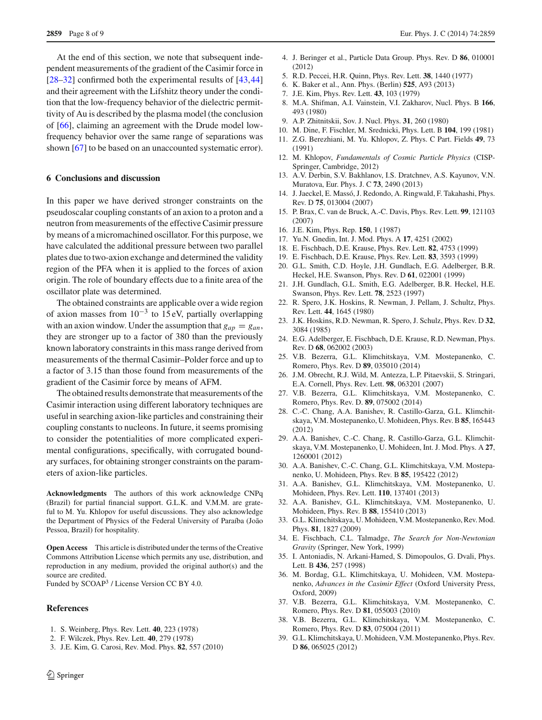At the end of this section, we note that subsequent independent measurements of the gradient of the Casimir force in [\[28](#page-7-26)[–32](#page-7-27)] confirmed both the experimental results of [\[43,](#page-8-1)[44\]](#page-8-2) and their agreement with the Lifshitz theory under the condition that the low-frequency behavior of the dielectric permittivity of Au is described by the plasma model (the conclusion of [\[66\]](#page-8-21), claiming an agreement with the Drude model lowfrequency behavior over the same range of separations was shown [\[67](#page-8-22)] to be based on an unaccounted systematic error).

#### **6 Conclusions and discussion**

In this paper we have derived stronger constraints on the pseudoscalar coupling constants of an axion to a proton and a neutron from measurements of the effective Casimir pressure by means of a micromachined oscillator. For this purpose, we have calculated the additional pressure between two parallel plates due to two-axion exchange and determined the validity region of the PFA when it is applied to the forces of axion origin. The role of boundary effects due to a finite area of the oscillator plate was determined.

The obtained constraints are applicable over a wide region of axion masses from  $10^{-3}$  to 15 eV, partially overlapping with an axion window. Under the assumption that  $g_{ap} = g_{an}$ , they are stronger up to a factor of 380 than the previously known laboratory constraints in this mass range derived from measurements of the thermal Casimir–Polder force and up to a factor of 3.15 than those found from measurements of the gradient of the Casimir force by means of AFM.

The obtained results demonstrate that measurements of the Casimir interaction using different laboratory techniques are useful in searching axion-like particles and constraining their coupling constants to nucleons. In future, it seems promising to consider the potentialities of more complicated experimental configurations, specifically, with corrugated boundary surfaces, for obtaining stronger constraints on the parameters of axion-like particles.

**Acknowledgments** The authors of this work acknowledge CNPq (Brazil) for partial financial support. G.L.K. and V.M.M. are grateful to M. Yu. Khlopov for useful discussions. They also acknowledge the Department of Physics of the Federal University of Paraíba (João Pessoa, Brazil) for hospitality.

**Open Access** This article is distributed under the terms of the Creative Commons Attribution License which permits any use, distribution, and reproduction in any medium, provided the original author(s) and the source are credited.

Funded by SCOAP<sup>3</sup> / License Version CC BY 4.0.

#### <span id="page-7-28"></span>**References**

- <span id="page-7-0"></span>1. S. Weinberg, Phys. Rev. Lett. **40**, 223 (1978)
- <span id="page-7-1"></span>2. F. Wilczek, Phys. Rev. Lett. **40**, 279 (1978)
- <span id="page-7-2"></span>3. J.E. Kim, G. Carosi, Rev. Mod. Phys. **82**, 557 (2010)
- <span id="page-7-3"></span>4. J. Beringer et al., Particle Data Group. Phys. Rev. D **86**, 010001 (2012)
- <span id="page-7-4"></span>5. R.D. Peccei, H.R. Quinn, Phys. Rev. Lett. **38**, 1440 (1977)
- <span id="page-7-5"></span>6. K. Baker et al., Ann. Phys. (Berlin) **525**, A93 (2013)
- <span id="page-7-6"></span>7. J.E. Kim, Phys. Rev. Lett. **43**, 103 (1979)
- <span id="page-7-7"></span>8. M.A. Shifman, A.I. Vainstein, V.I. Zakharov, Nucl. Phys. B **166**, 493 (1980)
- <span id="page-7-8"></span>9. A.P. Zhitnitskii, Sov. J. Nucl. Phys. **31**, 260 (1980)
- <span id="page-7-9"></span>10. M. Dine, F. Fischler, M. Srednicki, Phys. Lett. B **104**, 199 (1981)
- <span id="page-7-10"></span>11. Z.G. Berezhiani, M. Yu. Khlopov, Z. Phys. C Part. Fields **49**, 73 (1991)
- <span id="page-7-11"></span>12. M. Khlopov, *Fundamentals of Cosmic Particle Physics* (CISP-Springer, Cambridge, 2012)
- <span id="page-7-12"></span>13. A.V. Derbin, S.V. Bakhlanov, I.S. Dratchnev, A.S. Kayunov, V.N. Muratova, Eur. Phys. J. C **73**, 2490 (2013)
- <span id="page-7-13"></span>14. J. Jaeckel, E. Massó, J. Redondo, A. Ringwald, F. Takahashi, Phys. Rev. D **75**, 013004 (2007)
- <span id="page-7-14"></span>15. P. Brax, C. van de Bruck, A.-C. Davis, Phys. Rev. Lett. **99**, 121103 (2007)
- <span id="page-7-15"></span>16. J.E. Kim, Phys. Rep. **150**, 1 (1987)
- <span id="page-7-16"></span>17. Yu.N. Gnedin, Int. J. Mod. Phys. A **17**, 4251 (2002)
- <span id="page-7-17"></span>18. E. Fischbach, D.E. Krause, Phys. Rev. Lett. **82**, 4753 (1999)
- 19. E. Fischbach, D.E. Krause, Phys. Rev. Lett. **83**, 3593 (1999)
- <span id="page-7-18"></span>20. G.L. Smith, C.D. Hoyle, J.H. Gundlach, E.G. Adelberger, B.R. Heckel, H.E. Swanson, Phys. Rev. D **61**, 022001 (1999)
- <span id="page-7-19"></span>21. J.H. Gundlach, G.L. Smith, E.G. Adelberger, B.R. Heckel, H.E. Swanson, Phys. Rev. Lett. **78**, 2523 (1997)
- <span id="page-7-20"></span>22. R. Spero, J.K. Hoskins, R. Newman, J. Pellam, J. Schultz, Phys. Rev. Lett. **44**, 1645 (1980)
- <span id="page-7-21"></span>23. J.K. Hoskins, R.D. Newman, R. Spero, J. Schulz, Phys. Rev. D **32**, 3084 (1985)
- <span id="page-7-22"></span>24. E.G. Adelberger, E. Fischbach, D.E. Krause, R.D. Newman, Phys. Rev. D **68**, 062002 (2003)
- <span id="page-7-23"></span>25. V.B. Bezerra, G.L. Klimchitskaya, V.M. Mostepanenko, C. Romero, Phys. Rev. D **89**, 035010 (2014)
- <span id="page-7-24"></span>26. J.M. Obrecht, R.J. Wild, M. Antezza, L.P. Pitaevskii, S. Stringari, E.A. Cornell, Phys. Rev. Lett. **98**, 063201 (2007)
- <span id="page-7-25"></span>27. V.B. Bezerra, G.L. Klimchitskaya, V.M. Mostepanenko, C. Romero, Phys. Rev. D. **89**, 075002 (2014)
- <span id="page-7-26"></span>28. C.-C. Chang, A.A. Banishev, R. Castillo-Garza, G.L. Klimchitskaya, V.M. Mostepanenko, U. Mohideen, Phys. Rev. B **85**, 165443 (2012)
- <span id="page-7-34"></span>29. A.A. Banishev, C.-C. Chang, R. Castillo-Garza, G.L. Klimchitskaya, V.M. Mostepanenko, U. Mohideen, Int. J. Mod. Phys. A **27**, 1260001 (2012)
- 30. A.A. Banishev, C.-C. Chang, G.L. Klimchitskaya, V.M. Mostepanenko, U. Mohideen, Phys. Rev. B **85**, 195422 (2012)
- 31. A.A. Banishev, G.L. Klimchitskaya, V.M. Mostepanenko, U. Mohideen, Phys. Rev. Lett. **110**, 137401 (2013)
- <span id="page-7-27"></span>32. A.A. Banishev, G.L. Klimchitskaya, V.M. Mostepanenko, U. Mohideen, Phys. Rev. B **88**, 155410 (2013)
- <span id="page-7-29"></span>33. G.L. Klimchitskaya, U. Mohideen, V.M. Mostepanenko, Rev. Mod. Phys. **81**, 1827 (2009)
- <span id="page-7-30"></span>34. E. Fischbach, C.L. Talmadge, *The Search for Non-Newtonian Gravity* (Springer, New York, 1999)
- <span id="page-7-31"></span>35. I. Antoniadis, N. Arkani-Hamed, S. Dimopoulos, G. Dvali, Phys. Lett. B **436**, 257 (1998)
- <span id="page-7-32"></span>36. M. Bordag, G.L. Klimchitskaya, U. Mohideen, V.M. Mostepanenko, *Advances in the Casimir Effect* (Oxford University Press, Oxford, 2009)
- <span id="page-7-33"></span>37. V.B. Bezerra, G.L. Klimchitskaya, V.M. Mostepanenko, C. Romero, Phys. Rev. D **81**, 055003 (2010)
- 38. V.B. Bezerra, G.L. Klimchitskaya, V.M. Mostepanenko, C. Romero, Phys. Rev. D **83**, 075004 (2011)
- 39. G.L. Klimchitskaya, U.Mohideen, V.M.Mostepanenko, Phys. Rev. D **86**, 065025 (2012)